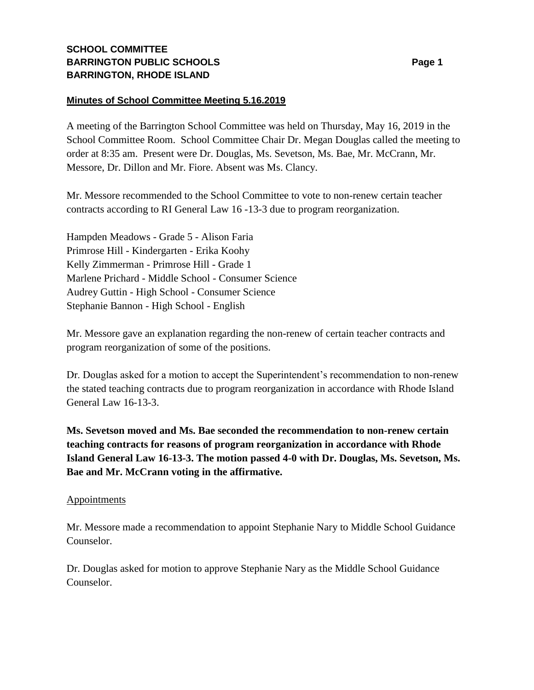## **SCHOOL COMMITTEE BARRINGTON PUBLIC SCHOOLS BARRINGTON, RHODE ISLAND**

## **Minutes of School Committee Meeting 5.16.2019**

A meeting of the Barrington School Committee was held on Thursday, May 16, 2019 in the School Committee Room. School Committee Chair Dr. Megan Douglas called the meeting to order at 8:35 am. Present were Dr. Douglas, Ms. Sevetson, Ms. Bae, Mr. McCrann, Mr. Messore, Dr. Dillon and Mr. Fiore. Absent was Ms. Clancy.

Mr. Messore recommended to the School Committee to vote to non-renew certain teacher contracts according to RI General Law 16 -13-3 due to program reorganization.

Hampden Meadows - Grade 5 - Alison Faria Primrose Hill - Kindergarten - Erika Koohy Kelly Zimmerman - Primrose Hill - Grade 1 Marlene Prichard - Middle School - Consumer Science Audrey Guttin - High School - Consumer Science Stephanie Bannon - High School - English

Mr. Messore gave an explanation regarding the non-renew of certain teacher contracts and program reorganization of some of the positions.

Dr. Douglas asked for a motion to accept the Superintendent's recommendation to non-renew the stated teaching contracts due to program reorganization in accordance with Rhode Island General Law 16-13-3.

**Ms. Sevetson moved and Ms. Bae seconded the recommendation to non-renew certain teaching contracts for reasons of program reorganization in accordance with Rhode Island General Law 16-13-3. The motion passed 4-0 with Dr. Douglas, Ms. Sevetson, Ms. Bae and Mr. McCrann voting in the affirmative.**

## **Appointments**

Mr. Messore made a recommendation to appoint Stephanie Nary to Middle School Guidance Counselor.

Dr. Douglas asked for motion to approve Stephanie Nary as the Middle School Guidance Counselor.